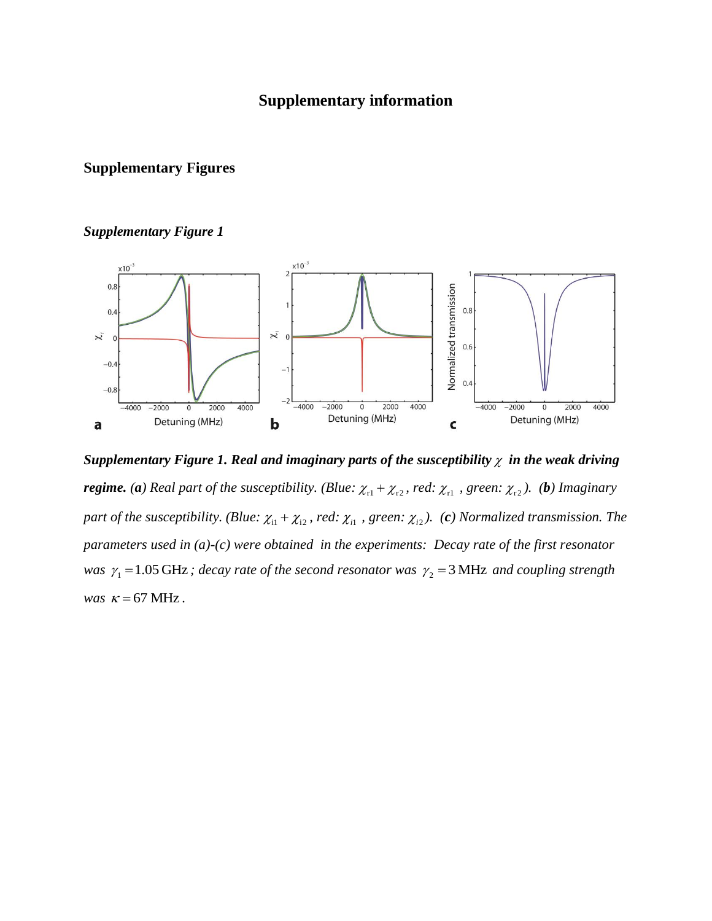### **Supplementary information**

### **Supplementary Figures**



Supplementary Figure 1. Real and imaginary parts of the susceptibility  $\chi$  in the weak driving *regime.* (*a*) Real part of the susceptibility. (Blue:  $\chi_{r1} + \chi_{r2}$ , red:  $\chi_{r1}$ , green:  $\chi_{r2}$ ). (*b*) Imaginary part of the susceptibility. (Blue:  $\chi_{i1} + \chi_{i2}$ , red:  $\chi_{i1}$ , green:  $\chi_{i2}$ ). (c) Normalized transmission. The *parameters used in (a)-(c) were obtained in the experiments: Decay rate of the first resonator was*  $\gamma_1 = 1.05$  GHz; decay rate of the second resonator was  $\gamma_2 = 3$  MHz and coupling strength *was*  $\kappa = 67$  MHz.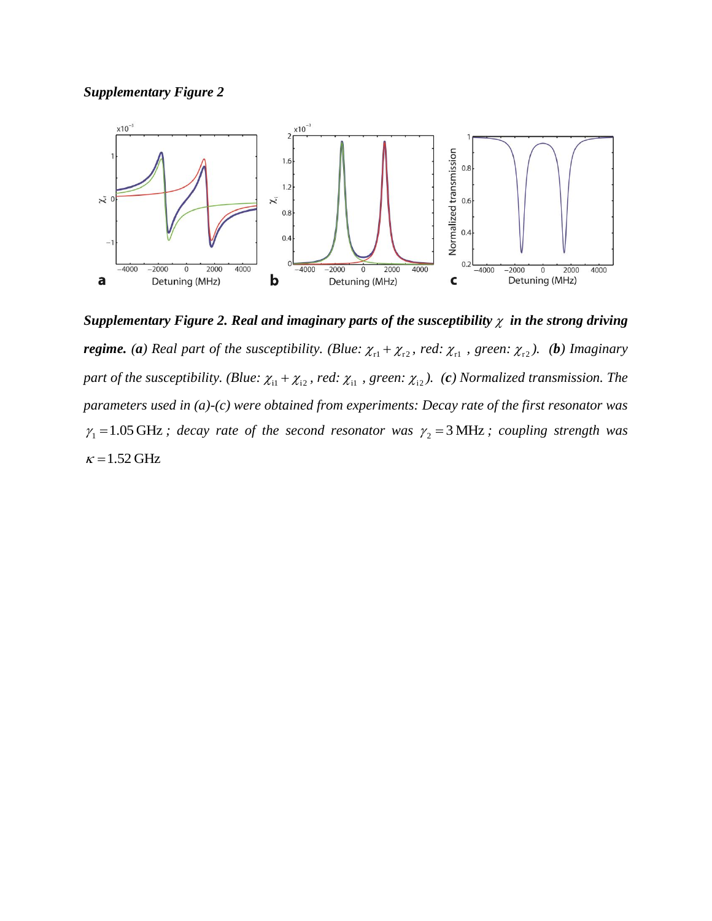

Supplementary Figure 2. Real and imaginary parts of the susceptibility  $\chi$  in the strong driving *regime.* (a) Real part of the susceptibility. (Blue:  $\chi_{r1} + \chi_{r2}$ , red:  $\chi_{r1}$ , green:  $\chi_{r2}$ ). (b) Imaginary part of the susceptibility. (Blue:  $\chi_{i1} + \chi_{i2}$ , red:  $\chi_{i1}$ , green:  $\chi_{i2}$ ). (c) Normalized transmission. The *parameters used in (a)-(c) were obtained from experiments: Decay rate of the first resonator was*   $\gamma_1 = 1.05 \text{ GHz}$ ; decay rate of the second resonator was  $\gamma_2 = 3 \text{ MHz}$ ; coupling strength was  $\kappa$  = 1.52 GHz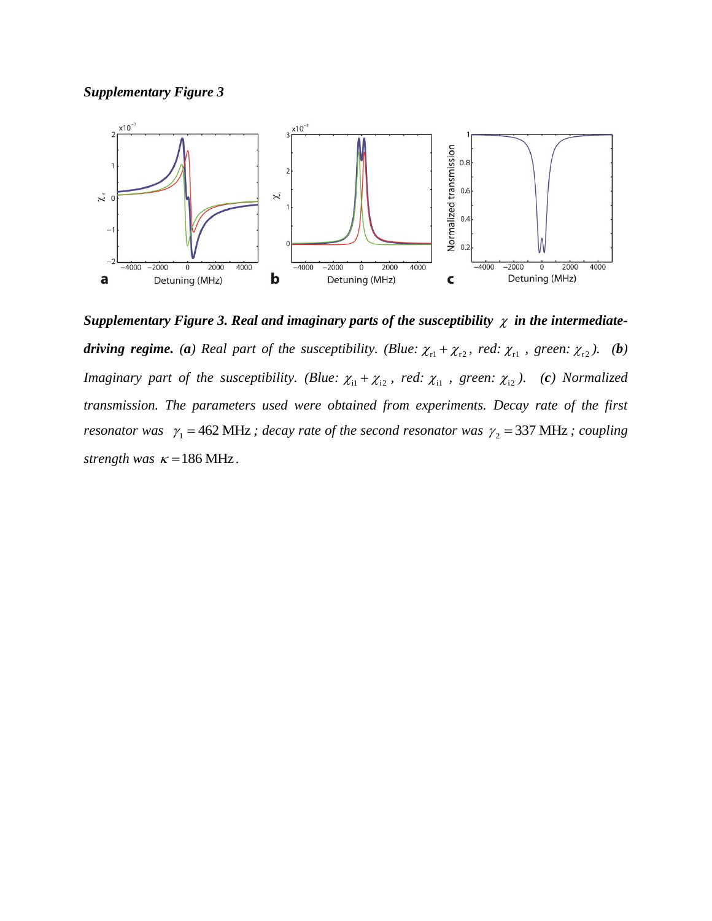

Supplementary Figure 3. Real and imaginary parts of the susceptibility  $\chi$  in the intermediate*driving regime.* (*a*) Real part of the susceptibility. (Blue:  $\chi_{r1} + \chi_{r2}$ , red:  $\chi_{r1}$ , green:  $\chi_{r2}$ ). (*b*) *Imaginary part of the susceptibility.* (*Blue:*  $\chi_{i1} + \chi_{i2}$ , *red:*  $\chi_{i1}$ , *green:*  $\chi_{i2}$ ). (*c*) *Normalized transmission. The parameters used were obtained from experiments. Decay rate of the first resonator was*  $\gamma_1 = 462 \text{ MHz}$ ; decay rate of the second resonator was  $\gamma_2 = 337 \text{ MHz}$ ; coupling strength was  $\kappa = 186 \text{ MHz}$ .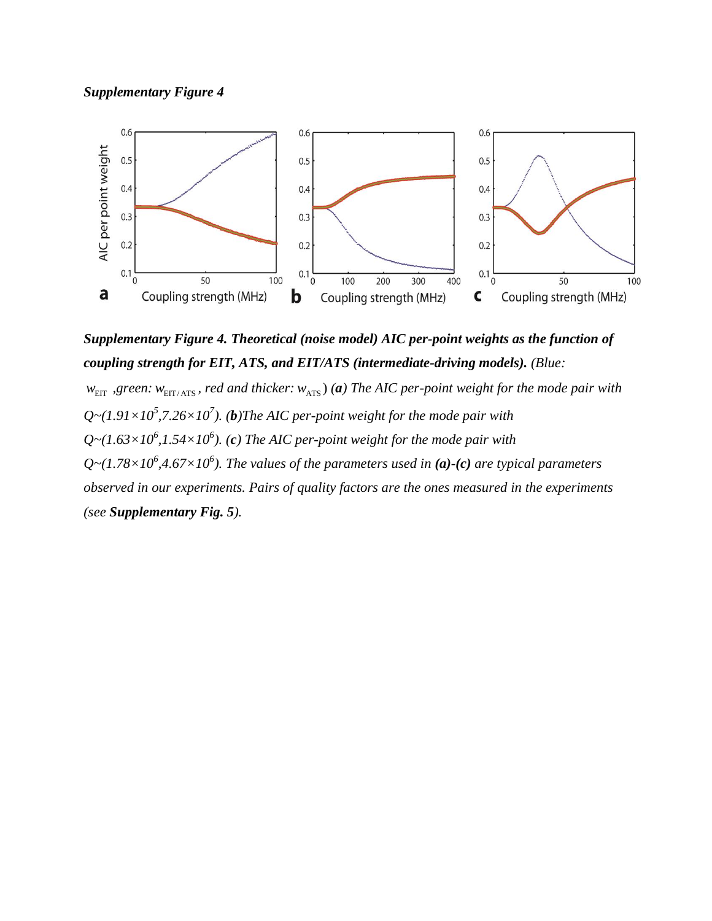



*Supplementary Figure 4. Theoretical (noise model) AIC per-point weights as the function of coupling strength for EIT, ATS, and EIT/ATS (intermediate-driving models). (Blue:*

*w*<sub>EIT</sub> , green:  $w_{\text{EIT/ATS}}$ , red and thicker:  $w_{\text{ATS}}$ ) (a) The AIC per-point weight for the mode pair with  $Q$   $\sim$   $(1.91 \times 10^5, 7.26 \times 10^7)$ . (b) The AIC per-point weight for the mode pair with  $Q$  ~ $(1.63\times10^6, 1.54\times10^6)$ . (c) The AIC per-point weight for the mode pair with  $Q$   $\sim$   $(1.78 \times 10^6, 4.67 \times 10^6)$ . The values of the parameters used in (a) $\cdot$ (c) are typical parameters *observed in our experiments. Pairs of quality factors are the ones measured in the experiments (see Supplementary Fig. 5).*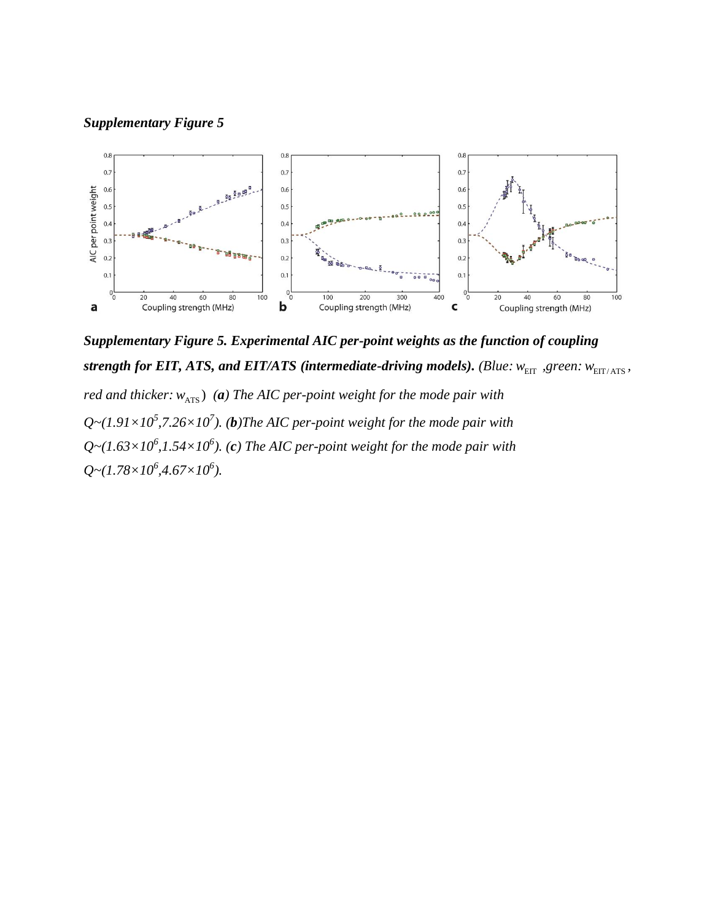

*Supplementary Figure 5. Experimental AIC per-point weights as the function of coupling strength for EIT, ATS, and EIT/ATS (intermediate-driving models). (Blue:*  $w_{\text{EIT}}$  *,green:*  $w_{\text{EIT/ATS}}$ *, red and thicker:*  $w_{\text{ATS}}$ ) (*a*) The AIC per-point weight for the mode pair with  $Q$   $\sim$   $(1.91 \times 10^5, 7.26 \times 10^7)$ . (b) The AIC per-point weight for the mode pair with  $Q$  ~ $(1.63\times10^6, 1.54\times10^6)$ . (c) The AIC per-point weight for the mode pair with  $Q \sim (1.78 \times 10^6, 4.67 \times 10^6)$ .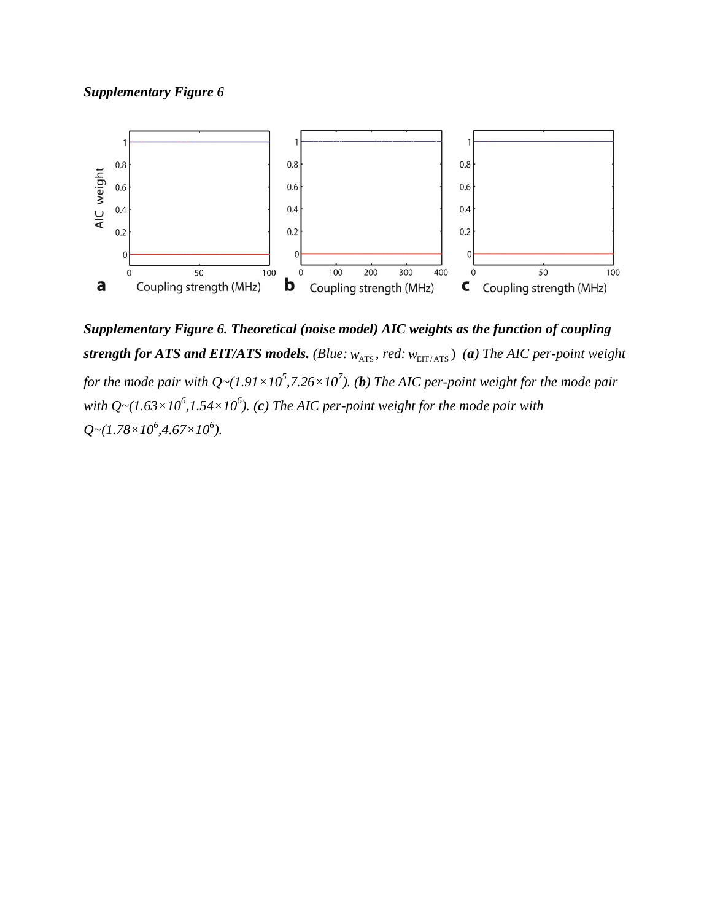

*Supplementary Figure 6. Theoretical (noise model) AIC weights as the function of coupling strength for ATS and EIT/ATS models.* (Blue:  $w_{\text{ATS}}$ , red:  $w_{\text{EIT/ATS}}$ ) (a) The AIC per-point weight *for the mode pair with Q* ~  $(1.91 \times 10^5, 7.26 \times 10^7)$ . (*b*) The AIC per-point weight for the mode pair with Q~ $(1.63\times10^6, 1.54\times10^6)$ . (c) The AIC per-point weight for the mode pair with *Q~(1.78×10<sup>6</sup>,4.67×10<sup>6</sup>).*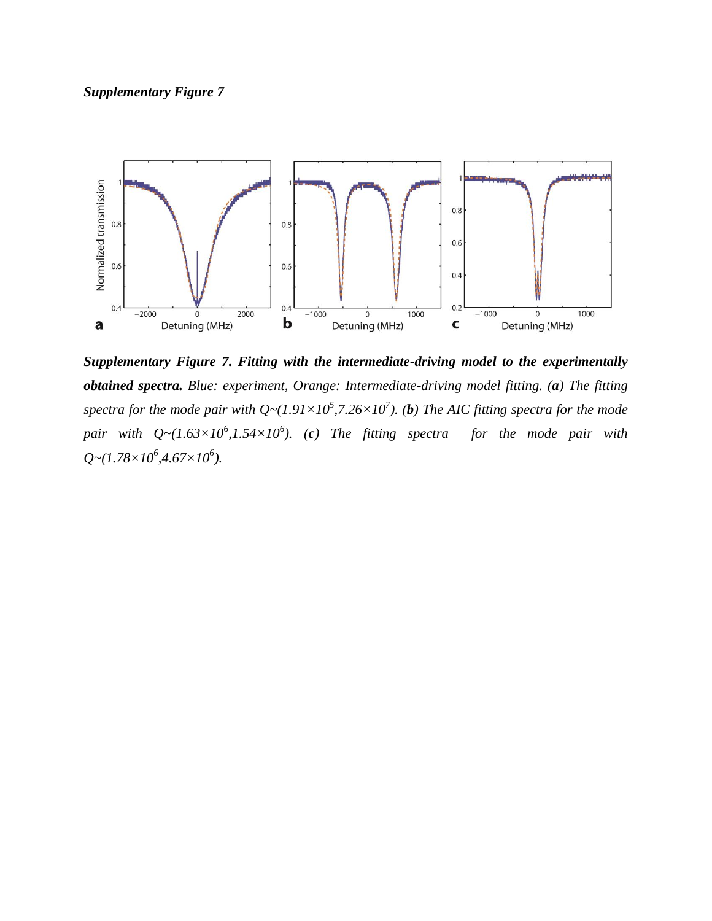

*Supplementary Figure 7. Fitting with the intermediate-driving model to the experimentally obtained spectra. Blue: experiment, Orange: Intermediate-driving model fitting. (a) The fitting*  spectra for the mode pair with  $Q \sim (1.91 \times 10^5, 7.26 \times 10^7)$ . (b) The AIC fitting spectra for the mode *pair with Q~(1.63×10<sup>6</sup> ,1.54×10<sup>6</sup> ). (c) The fitting spectra for the mode pair with Q~(1.78×10<sup>6</sup> ,4.67×10<sup>6</sup> ).*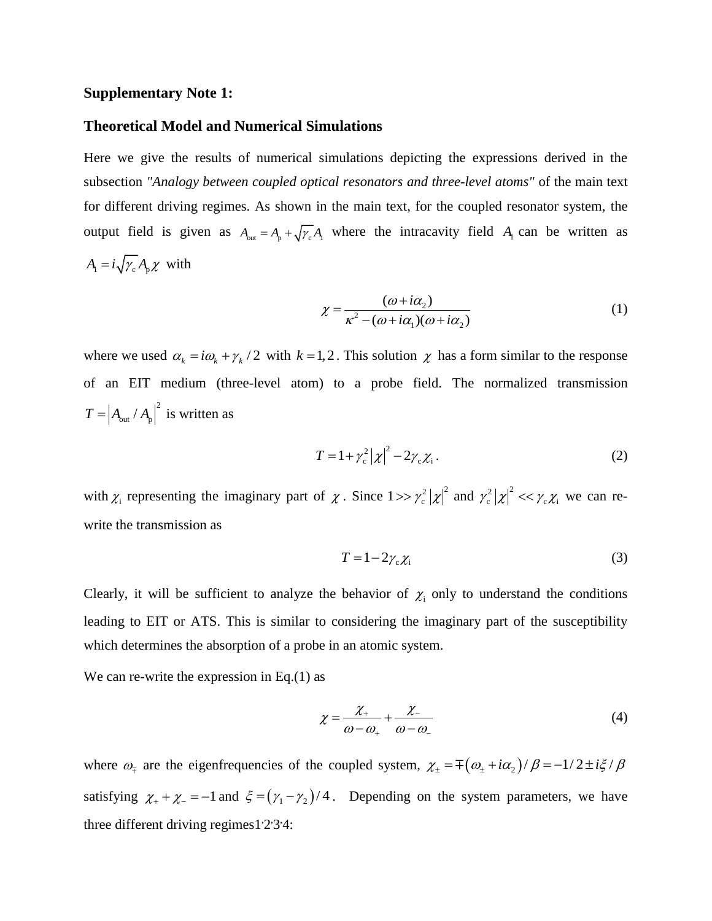#### **Supplementary Note 1:**

#### **Theoretical Model and Numerical Simulations**

Here we give the results of numerical simulations depicting the expressions derived in the subsection *"Analogy between coupled optical resonators and three-level atoms"* of the main text for different driving regimes. As shown in the main text, for the coupled resonator system, the output field is given as  $A_{out} = A_p + \sqrt{\gamma_c} A_1$  where the intracavity field  $A_1$  can be written as  $A_{\rm i} = i \sqrt{\gamma_{\rm c}} A_{\rm p} \chi$  with

$$
\chi = \frac{(\omega + i\alpha_2)}{\kappa^2 - (\omega + i\alpha_1)(\omega + i\alpha_2)}\tag{1}
$$

where we used  $\alpha_k = i\omega_k + \gamma_k/2$  with  $k = 1, 2$ . This solution  $\chi$  has a form similar to the response of an EIT medium (three-level atom) to a probe field. The normalized transmission  $T = |A_{\text{out}} / A_{\text{p}}|^2$  is written as

$$
T = 1 + \gamma_c^2 \left| \chi \right|^2 - 2\gamma_c \chi_i \,. \tag{2}
$$

with  $\chi_i$  representing the imaginary part of  $\chi$ . Since  $1 >> \gamma_c^2 |\chi|^2$  $1 >> \gamma_c^2 |\chi|^2$  and  $\gamma_c^2 |\chi|^2 << \gamma_c \chi_i$  we can rewrite the transmission as

$$
T = 1 - 2\gamma_c \chi_i \tag{3}
$$

Clearly, it will be sufficient to analyze the behavior of  $\chi_i$  only to understand the conditions leading to EIT or ATS. This is similar to considering the imaginary part of the susceptibility which determines the absorption of a probe in an atomic system.

We can re-write the expression in Eq.(1) as

$$
\chi = \frac{\chi_+}{\omega - \omega_+} + \frac{\chi_-}{\omega - \omega_-} \tag{4}
$$

where  $\omega_{\tau}$  are the eigenfrequencies of the coupled system,  $\chi_{\pm} = \pm (\omega_{\pm} + i\alpha_2)/\beta = -1/2 \pm i\xi/\beta$ satisfying  $\chi_+ + \chi_- = -1$  and  $\xi = (\gamma_1 - \gamma_2)/4$ . Depending on the system parameters, we have three different driving regimes  $1'2'3'4$  $1'2'3'4$  $1'2'3'4$  $1'2'3'4$  $1'2'3'4$ :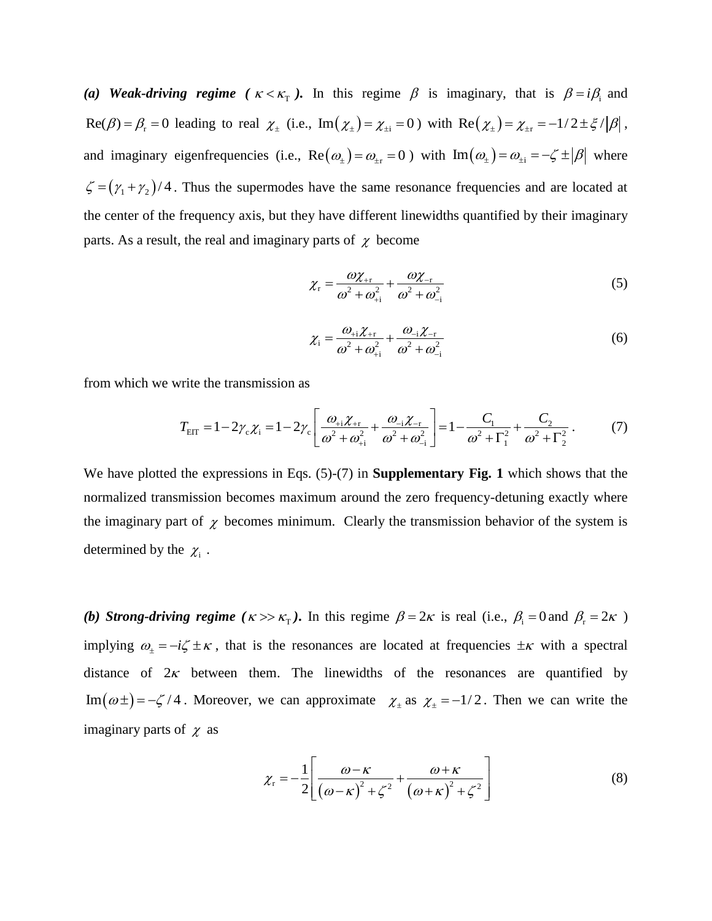(a) Weak-driving regime ( $\kappa < \kappa_{\rm T}$ ). In this regime  $\beta$  is imaginary, that is  $\beta = i\beta_{\rm i}$  and  $\text{Re}(\beta) = \beta_r = 0$  leading to real  $\chi_{\pm}$  (i.e.,  $\text{Im}(\chi_{\pm}) = \chi_{\pm i} = 0$ ) with  $\text{Re}(\chi_{\pm}) = \chi_{\pm r} = -1/2 \pm \xi / |\beta|$ , and imaginary eigenfrequencies (i.e.,  $\text{Re}(\omega_{\pm}) = \omega_{\pm r} = 0$ ) with  $\text{Im}(\omega_{\pm}) = \omega_{\pm i} = -\zeta \pm |\beta|$  where  $\zeta = (\gamma_1 + \gamma_2)/4$ . Thus the supermodes have the same resonance frequencies and are located at the center of the frequency axis, but they have different linewidths quantified by their imaginary parts. As a result, the real and imaginary parts of  $\chi$  become

$$
\chi_{\rm r} = \frac{\omega \chi_{+{\rm r}}}{\omega^2 + \omega_{+{\rm i}}^2} + \frac{\omega \chi_{-{\rm r}}}{\omega^2 + \omega_{-{\rm i}}^2}
$$
(5)

$$
\chi_{i} = \frac{\omega_{+i}\chi_{+r}}{\omega^{2} + \omega_{+i}^{2}} + \frac{\omega_{-i}\chi_{-r}}{\omega^{2} + \omega_{-i}^{2}}
$$
(6)

from which we write the transmission as  
\n
$$
T_{\text{EIT}} = 1 - 2\gamma_c \chi_i = 1 - 2\gamma_c \left[ \frac{\omega_{+i} \chi_{+r}}{\omega^2 + \omega_{+i}^2} + \frac{\omega_{-i} \chi_{-r}}{\omega^2 + \omega_{-i}^2} \right] = 1 - \frac{C_1}{\omega^2 + \Gamma_1^2} + \frac{C_2}{\omega^2 + \Gamma_2^2}.
$$
\n(7)

We have plotted the expressions in Eqs. (5)-(7) in **Supplementary Fig. 1** which shows that the normalized transmission becomes maximum around the zero frequency-detuning exactly where the imaginary part of  $\chi$  becomes minimum. Clearly the transmission behavior of the system is determined by the  $\chi_i$ .

*(b) Strong-driving regime*  $(\kappa \gg \kappa_T)$ . In this regime  $\beta = 2\kappa$  is real (i.e.,  $\beta_i = 0$  and  $\beta_r = 2\kappa$ ) implying  $\omega_{\pm} = -i\zeta \pm \kappa$ , that is the resonances are located at frequencies  $\pm \kappa$  with a spectral distance of  $2\kappa$  between them. The linewidths of the resonances are quantified by Im  $(\omega \pm) = -\zeta/4$ . Moreover, we can approximate  $\chi_{\pm}$  as  $\chi_{\pm} = -1/2$ . Then we can write the imaginary parts of  $\chi$  as

$$
\chi_{\rm r} = -\frac{1}{2} \left[ \frac{\omega - \kappa}{\left(\omega - \kappa\right)^2 + \zeta^2} + \frac{\omega + \kappa}{\left(\omega + \kappa\right)^2 + \zeta^2} \right] \tag{8}
$$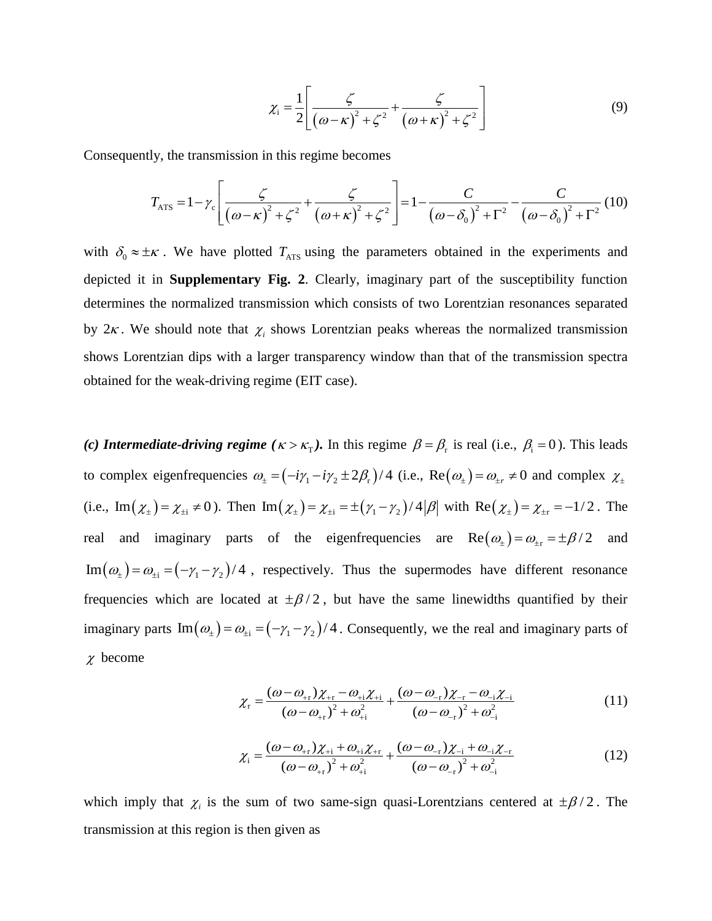$$
\chi_{i} = \frac{1}{2} \left[ \frac{\zeta}{\left( \omega - \kappa \right)^{2} + \zeta^{2}} + \frac{\zeta}{\left( \omega + \kappa \right)^{2} + \zeta^{2}} \right]
$$
(9)

Consequently, the transmission in this regime becomes

$$
\text{Ly, the transmission in this regime becomes}
$$
\n
$$
T_{\text{ATS}} = 1 - \gamma_c \left[ \frac{\zeta}{\left( \omega - \kappa \right)^2 + \zeta^2} + \frac{\zeta}{\left( \omega + \kappa \right)^2 + \zeta^2} \right] = 1 - \frac{C}{\left( \omega - \delta_0 \right)^2 + \Gamma^2} - \frac{C}{\left( \omega - \delta_0 \right)^2 + \Gamma^2} \tag{10}
$$

with  $\delta_0 \approx \pm \kappa$ . We have plotted  $T_{\text{ATS}}$  using the parameters obtained in the experiments and depicted it in **Supplementary Fig. 2**. Clearly, imaginary part of the susceptibility function determines the normalized transmission which consists of two Lorentzian resonances separated by  $2\kappa$ . We should note that  $\chi$ <sub>i</sub> shows Lorentzian peaks whereas the normalized transmission shows Lorentzian dips with a larger transparency window than that of the transmission spectra obtained for the weak-driving regime (EIT case).

(*c*) **Intermediate-driving regime** ( $\kappa > \kappa_{\rm T}$ ). In this regime  $\beta = \beta_{\rm r}$  is real (i.e.,  $\beta_{\rm i} = 0$ ). This leads to complex eigenfrequencies  $\omega_z = (-i\gamma_1 - i\gamma_2 \pm 2\beta_r)/4$  (i.e.,  $\text{Re}(\omega_z) = \omega_{\pm r} \neq 0$  and complex  $\chi_{\pm}$ (i.e.,  $\text{Im}(\chi_{\pm}) = \chi_{\pm i} \neq 0$ ). Then  $\text{Im}(\chi_{\pm}) = \chi_{\pm i} = \pm (\gamma_1 - \gamma_2)/4 |\beta|$  with  $\text{Re}(\chi_{\pm}) = \chi_{\pm r} = -1/2$ . The real and imaginary parts of the eigenfrequencies are  $\text{Re}(\omega_{\pm}) = \omega_{\pm r} = \pm \beta/2$  and  $\text{Im}(\omega_{\pm}) = \omega_{\pm i} = (-\gamma_1 - \gamma_2)/4$ , respectively. Thus the supermodes have different resonance frequencies which are located at  $\pm \beta/2$ , but have the same linewidths quantified by their imaginary parts  $\text{Im}(\omega_{\pm}) = \omega_{\pm i} = (-\gamma_1 - \gamma_2)/4$ . Consequently, we the real and imaginary parts of  $\chi$  become

$$
\chi_{\rm r} = \frac{(\omega - \omega_{+r})\chi_{+r} - \omega_{+i}\chi_{+i}}{(\omega - \omega_{+r})^2 + \omega_{+i}^2} + \frac{(\omega - \omega_{-r})\chi_{-r} - \omega_{-i}\chi_{-i}}{(\omega - \omega_{-r})^2 + \omega_{-i}^2}
$$
(11)

$$
(\omega - \omega_{+r}) + \omega_{+i} \qquad (\omega - \omega_{-r}) + \omega_{-i}
$$
  

$$
\chi_{i} = \frac{(\omega - \omega_{+r})\chi_{+i} + \omega_{+i}\chi_{+r}}{(\omega - \omega_{+r})^{2} + \omega_{+i}^{2}} + \frac{(\omega - \omega_{-r})\chi_{-i} + \omega_{-i}\chi_{-r}}{(\omega - \omega_{-r})^{2} + \omega_{-i}^{2}}
$$
(12)

which imply that  $\chi$ <sub>i</sub> is the sum of two same-sign quasi-Lorentzians centered at  $\pm \beta/2$ . The transmission at this region is then given as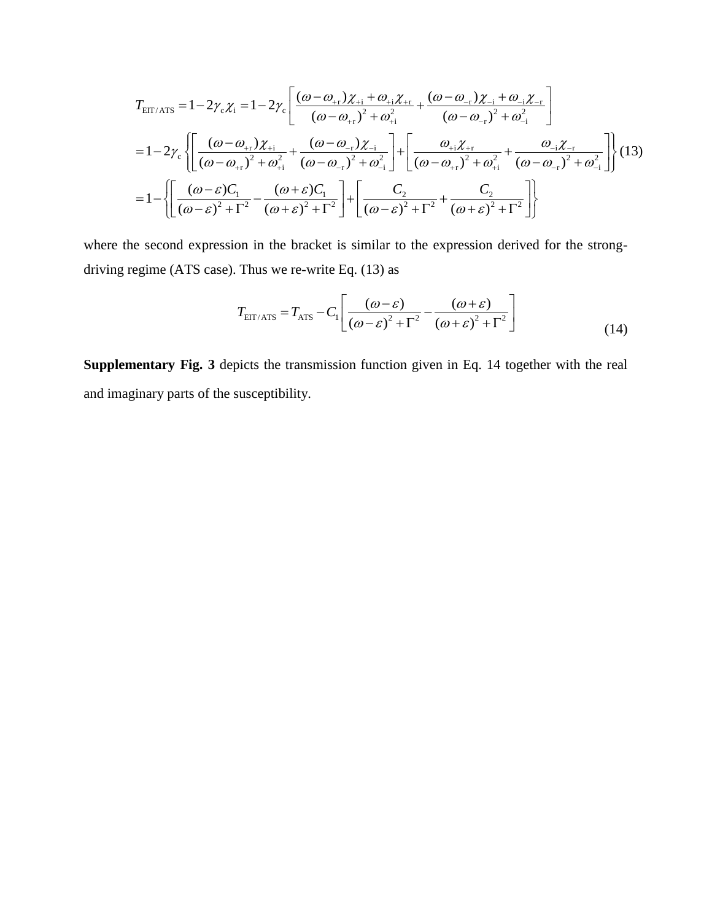$$
T_{\text{EIT/ATS}} = 1 - 2\gamma_c \chi_i = 1 - 2\gamma_c \left[ \frac{(\omega - \omega_{+r})\chi_{+i} + \omega_{+i}\chi_{+r}}{(\omega - \omega_{+r})^2 + \omega_{+i}^2} + \frac{(\omega - \omega_{-r})\chi_{-i} + \omega_{-i}\chi_{-r}}{(\omega - \omega_{-r})^2 + \omega_{-i}^2} \right]
$$
  
=  $1 - 2\gamma_c \left\{ \left[ \frac{(\omega - \omega_{+r})\chi_{+i}}{(\omega - \omega_{+r})^2 + \omega_{+i}^2} + \frac{(\omega - \omega_{-r})\chi_{-i}}{(\omega - \omega_{-r})^2 + \omega_{-i}^2} \right] + \left[ \frac{\omega_{+i}\chi_{+r}}{(\omega - \omega_{+r})^2 + \omega_{+i}^2} + \frac{\omega_{-i}\chi_{-r}}{(\omega - \omega_{-r})^2 + \omega_{-i}^2} \right] \right\}$  (13)  
=  $1 - \left\{ \left[ \frac{(\omega - \varepsilon)C_1}{(\omega - \varepsilon)^2 + \Gamma^2} - \frac{(\omega + \varepsilon)C_1}{(\omega + \varepsilon)^2 + \Gamma^2} \right] + \left[ \frac{C_2}{(\omega - \varepsilon)^2 + \Gamma^2} + \frac{C_2}{(\omega + \varepsilon)^2 + \Gamma^2} \right] \right\}$ 

where the second expression in the bracket is similar to the expression derived for the strongdriving regime (ATS case). Thus we re-write Eq. (13) as

Thus we re-write Eq. (13) as  
\n
$$
T_{\text{EIT/ATS}} = T_{\text{ATS}} - C_1 \left[ \frac{(\omega - \varepsilon)}{(\omega - \varepsilon)^2 + \Gamma^2} - \frac{(\omega + \varepsilon)}{(\omega + \varepsilon)^2 + \Gamma^2} \right]
$$
\n(14)

**Supplementary Fig. 3** depicts the transmission function given in Eq. 14 together with the real and imaginary parts of the susceptibility.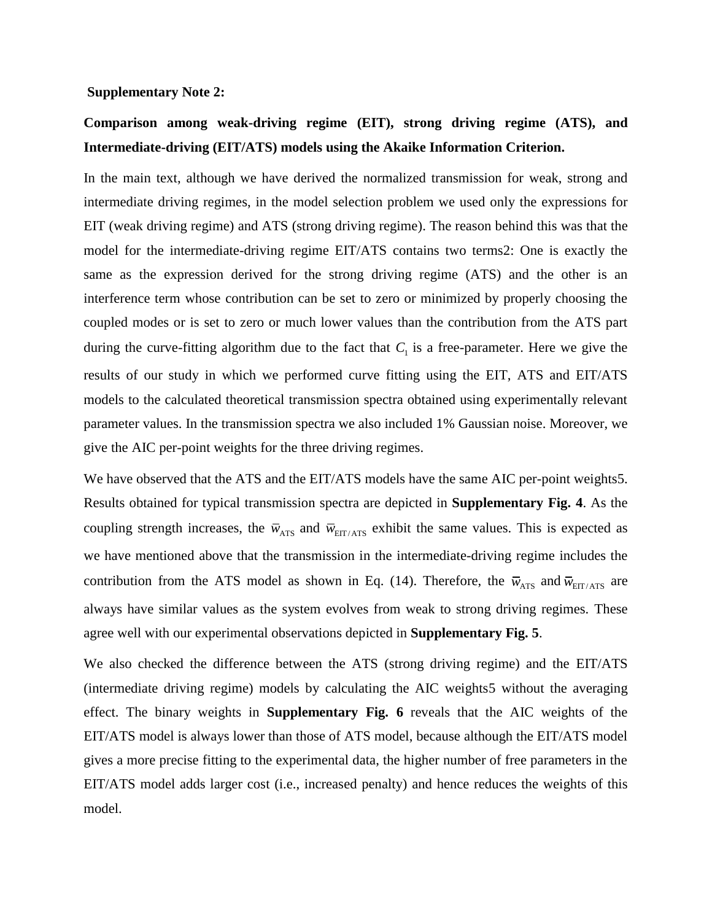#### **Supplementary Note 2:**

# **Comparison among weak-driving regime (EIT), strong driving regime (ATS), and Intermediate-driving (EIT/ATS) models using the Akaike Information Criterion.**

In the main text, although we have derived the normalized transmission for weak, strong and intermediate driving regimes, in the model selection problem we used only the expressions for EIT (weak driving regime) and ATS (strong driving regime). The reason behind this was that the model for the intermediate-driving regime EIT/ATS contains two term[s2:](#page-12-1) One is exactly the same as the expression derived for the strong driving regime (ATS) and the other is an interference term whose contribution can be set to zero or minimized by properly choosing the coupled modes or is set to zero or much lower values than the contribution from the ATS part during the curve-fitting algorithm due to the fact that  $C<sub>1</sub>$  is a free-parameter. Here we give the results of our study in which we performed curve fitting using the EIT, ATS and EIT/ATS models to the calculated theoretical transmission spectra obtained using experimentally relevant parameter values. In the transmission spectra we also included 1% Gaussian noise. Moreover, we give the AIC per-point weights for the three driving regimes.

We have observed that the ATS and the EIT/ATS models have the same AIC per-point weight[s5.](#page-12-4) Results obtained for typical transmission spectra are depicted in **Supplementary Fig. 4**. As the coupling strength increases, the  $\bar{w}_{\text{ATS}}$  and  $\bar{w}_{\text{EIT/ATS}}$  exhibit the same values. This is expected as we have mentioned above that the transmission in the intermediate-driving regime includes the contribution from the ATS model as shown in Eq. (14). Therefore, the  $\bar{w}_{ATS}$  and  $\bar{w}_{\text{EIT/ATS}}$  are always have similar values as the system evolves from weak to strong driving regimes. These agree well with our experimental observations depicted in **Supplementary Fig. 5**.

We also checked the difference between the ATS (strong driving regime) and the EIT/ATS (intermediate driving regime) models by calculating the AIC weight[s5](#page-12-4) without the averaging effect. The binary weights in **Supplementary Fig. 6** reveals that the AIC weights of the EIT/ATS model is always lower than those of ATS model, because although the EIT/ATS model gives a more precise fitting to the experimental data, the higher number of free parameters in the EIT/ATS model adds larger cost (i.e., increased penalty) and hence reduces the weights of this model.